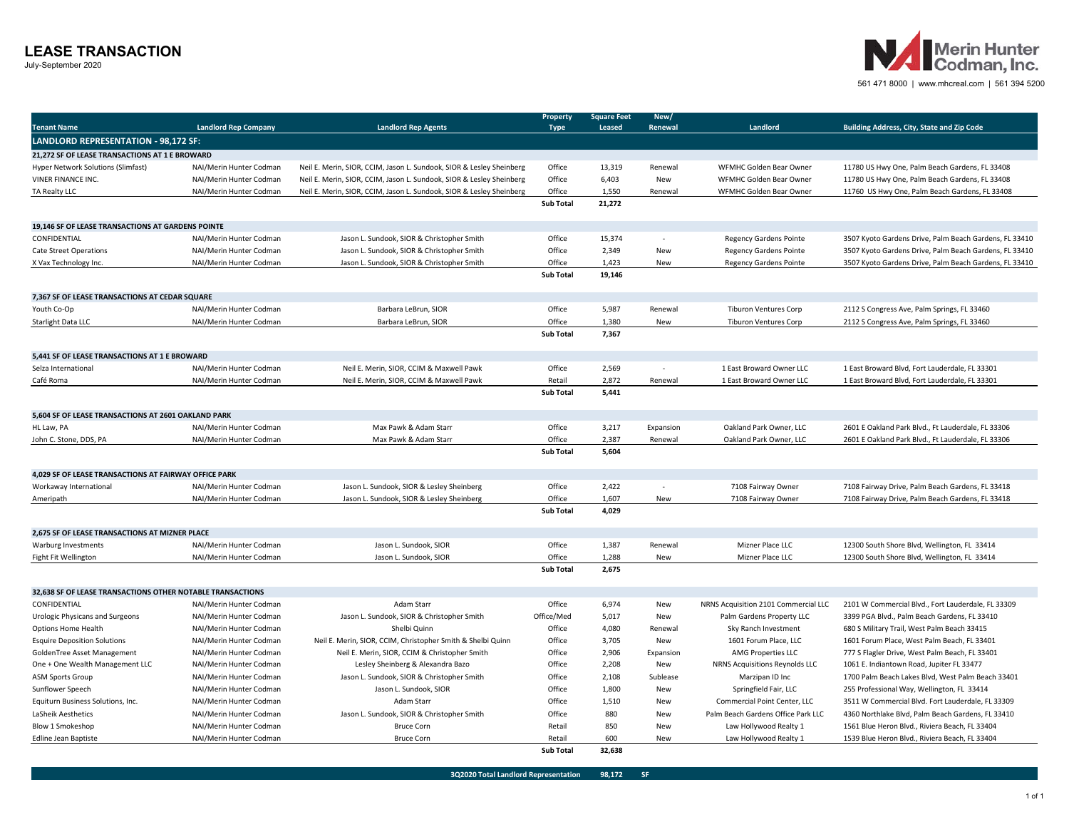## **LEASE TRANSACTION**

July-September 2020



561 471 8000 | www.mhcreal.com | 561 394 5200

|                                                               |                                                                                                 |                                                                      | <b>Property</b>  | Square Feet   | New/       |                                      |                                                        |  |
|---------------------------------------------------------------|-------------------------------------------------------------------------------------------------|----------------------------------------------------------------------|------------------|---------------|------------|--------------------------------------|--------------------------------------------------------|--|
| <b>Tenant Name</b>                                            | <b>Landlord Rep Company</b>                                                                     | <b>Landlord Rep Agents</b>                                           | <b>Type</b>      | <b>Leased</b> | Renewal    | Landlord                             | Building Address, City, State and Zip Code             |  |
| <b>LANDLORD REPRESENTATION - 98,172 SF:</b>                   |                                                                                                 |                                                                      |                  |               |            |                                      |                                                        |  |
| 21.272 SF OF LEASE TRANSACTIONS AT 1 E BROWARD                |                                                                                                 |                                                                      |                  |               |            |                                      |                                                        |  |
| Hyper Network Solutions (Slimfast)                            | NAI/Merin Hunter Codman<br>Neil E. Merin, SIOR, CCIM, Jason L. Sundook, SIOR & Lesley Sheinberg |                                                                      | Office           | 13,319        | Renewal    | WFMHC Golden Bear Owner              | 11780 US Hwy One, Palm Beach Gardens, FL 33408         |  |
| VINER FINANCE INC.                                            | Neil E. Merin, SIOR, CCIM, Jason L. Sundook, SIOR & Lesley Sheinberg<br>NAI/Merin Hunter Codman |                                                                      | Office           | 6,403         | New        | WFMHC Golden Bear Owner              | 11780 US Hwy One, Palm Beach Gardens, FL 33408         |  |
| TA Realty LLC                                                 | NAI/Merin Hunter Codman                                                                         | Neil E. Merin, SIOR, CCIM, Jason L. Sundook, SIOR & Lesley Sheinberg | Office           | 1,550         | Renewal    | WFMHC Golden Bear Owner              | 11760 US Hwy One, Palm Beach Gardens, FL 33408         |  |
|                                                               |                                                                                                 |                                                                      | <b>Sub Total</b> | 21,272        |            |                                      |                                                        |  |
|                                                               |                                                                                                 |                                                                      |                  |               |            |                                      |                                                        |  |
| 19,146 SF OF LEASE TRANSACTIONS AT GARDENS POINTE             |                                                                                                 |                                                                      |                  |               |            |                                      |                                                        |  |
| CONFIDENTIAL                                                  | NAI/Merin Hunter Codman                                                                         | Jason L. Sundook, SIOR & Christopher Smith                           | Office           | 15,374        |            | <b>Regency Gardens Pointe</b>        | 3507 Kyoto Gardens Drive, Palm Beach Gardens, FL 33410 |  |
| <b>Cate Street Operations</b>                                 | NAI/Merin Hunter Codman                                                                         | Jason L. Sundook, SIOR & Christopher Smith                           | Office           | 2,349         | New        | <b>Regency Gardens Pointe</b>        | 3507 Kyoto Gardens Drive, Palm Beach Gardens, FL 33410 |  |
| X Vax Technology Inc.                                         | NAI/Merin Hunter Codman                                                                         | Jason L. Sundook, SIOR & Christopher Smith                           | Office           | 1,423         | New        | <b>Regency Gardens Pointe</b>        | 3507 Kyoto Gardens Drive, Palm Beach Gardens, FL 33410 |  |
|                                                               |                                                                                                 |                                                                      | Sub Total        | 19,146        |            |                                      |                                                        |  |
|                                                               |                                                                                                 |                                                                      |                  |               |            |                                      |                                                        |  |
| 7,367 SF OF LEASE TRANSACTIONS AT CEDAR SQUARE<br>Youth Co-Op | NAI/Merin Hunter Codman                                                                         | Barbara LeBrun, SIOR                                                 | Office           | 5.987         | Renewal    | <b>Tiburon Ventures Corp</b>         | 2112 S Congress Ave, Palm Springs, FL 33460            |  |
|                                                               | NAI/Merin Hunter Codman                                                                         | Barbara LeBrun, SIOR                                                 | Office           | 1.380         | New        |                                      |                                                        |  |
| Starlight Data LLC                                            |                                                                                                 |                                                                      | <b>Sub Total</b> | 7,367         |            | <b>Tiburon Ventures Corp</b>         | 2112 S Congress Ave, Palm Springs, FL 33460            |  |
|                                                               |                                                                                                 |                                                                      |                  |               |            |                                      |                                                        |  |
| 5,441 SF OF LEASE TRANSACTIONS AT 1 E BROWARD                 |                                                                                                 |                                                                      |                  |               |            |                                      |                                                        |  |
| Selza International                                           | NAI/Merin Hunter Codman                                                                         | Neil E. Merin, SIOR, CCIM & Maxwell Pawk                             | Office           | 2,569         |            | 1 East Broward Owner LLC             | 1 East Broward Blvd, Fort Lauderdale, FL 33301         |  |
| Café Roma                                                     | NAI/Merin Hunter Codman                                                                         | Neil E. Merin, SIOR, CCIM & Maxwell Pawk                             | Retail           | 2,872         | Renewal    | 1 East Broward Owner LLC             | 1 East Broward Blvd, Fort Lauderdale, FL 33301         |  |
|                                                               |                                                                                                 |                                                                      | <b>Sub Total</b> | 5,441         |            |                                      |                                                        |  |
|                                                               |                                                                                                 |                                                                      |                  |               |            |                                      |                                                        |  |
| 5,604 SF OF LEASE TRANSACTIONS AT 2601 OAKLAND PARK           |                                                                                                 |                                                                      |                  |               |            |                                      |                                                        |  |
| HL Law, PA                                                    | NAI/Merin Hunter Codman                                                                         | Max Pawk & Adam Starr                                                | Office           | 3,217         | Expansion  | Oakland Park Owner, LLC              | 2601 E Oakland Park Blvd., Ft Lauderdale, FL 33306     |  |
| John C. Stone, DDS, PA                                        | NAI/Merin Hunter Codman                                                                         | Max Pawk & Adam Starr                                                | Office           | 2,387         | Renewal    | Oakland Park Owner, LLC              | 2601 E Oakland Park Blvd., Ft Lauderdale, FL 33306     |  |
|                                                               |                                                                                                 |                                                                      | <b>Sub Total</b> | 5,604         |            |                                      |                                                        |  |
|                                                               |                                                                                                 |                                                                      |                  |               |            |                                      |                                                        |  |
| 4,029 SF OF LEASE TRANSACTIONS AT FAIRWAY OFFICE PARK         |                                                                                                 |                                                                      |                  |               |            |                                      |                                                        |  |
| Workaway International                                        | NAI/Merin Hunter Codman                                                                         | Jason L. Sundook, SIOR & Lesley Sheinberg                            | Office           | 2,422         |            | 7108 Fairway Owner                   | 7108 Fairway Drive, Palm Beach Gardens, FL 33418       |  |
| Ameripath                                                     | Jason L. Sundook, SIOR & Lesley Sheinberg<br>NAI/Merin Hunter Codman                            |                                                                      | Office           | 1,607         | New        | 7108 Fairway Owner                   | 7108 Fairway Drive, Palm Beach Gardens, FL 33418       |  |
|                                                               |                                                                                                 |                                                                      | <b>Sub Total</b> | 4,029         |            |                                      |                                                        |  |
| 2,675 SF OF LEASE TRANSACTIONS AT MIZNER PLACE                |                                                                                                 |                                                                      |                  |               |            |                                      |                                                        |  |
| Warburg Investments                                           | NAI/Merin Hunter Codman                                                                         | Jason L. Sundook, SIOR                                               | Office           | 1,387         | Renewal    | Mizner Place LLC                     | 12300 South Shore Blvd, Wellington, FL 33414           |  |
| Fight Fit Wellington                                          | NAI/Merin Hunter Codman                                                                         | Jason L. Sundook, SIOR                                               | Office           | 1,288         | New        | Mizner Place LLC                     | 12300 South Shore Blvd, Wellington, FL 33414           |  |
|                                                               |                                                                                                 |                                                                      | <b>Sub Total</b> | 2,675         |            |                                      |                                                        |  |
|                                                               |                                                                                                 |                                                                      |                  |               |            |                                      |                                                        |  |
| 32,638 SF OF LEASE TRANSACTIONS OTHER NOTABLE TRANSACTIONS    |                                                                                                 |                                                                      |                  |               |            |                                      |                                                        |  |
| CONFIDENTIAL                                                  | NAI/Merin Hunter Codman                                                                         | Adam Starr                                                           | Office           | 6,974         | New        | NRNS Acquisition 2101 Commercial LLC | 2101 W Commercial Blvd., Fort Lauderdale, FL 33309     |  |
| Urologic Physicans and Surgeons                               | NAI/Merin Hunter Codman                                                                         | Jason L. Sundook, SIOR & Christopher Smith                           | Office/Med       | 5,017         | New        | Palm Gardens Property LLC            | 3399 PGA Blvd., Palm Beach Gardens, FL 33410           |  |
| <b>Options Home Health</b>                                    | NAI/Merin Hunter Codman                                                                         | Shelbi Quinn                                                         | Office           | 4,080         | Renewal    | Sky Ranch Investment                 | 680 S Military Trail, West Palm Beach 33415            |  |
| <b>Esquire Deposition Solutions</b>                           | NAI/Merin Hunter Codman                                                                         | Neil E. Merin, SIOR, CCIM, Christopher Smith & Shelbi Quinn          | Office           | 3,705         | New        | 1601 Forum Place, LLC                | 1601 Forum Place, West Palm Beach, FL 33401            |  |
| GoldenTree Asset Management                                   | NAI/Merin Hunter Codman                                                                         | Neil E. Merin, SIOR, CCIM & Christopher Smith                        | Office           | 2,906         | Expansion  | AMG Properties LLC                   | 777 S Flagler Drive, West Palm Beach, FL 33401         |  |
| One + One Wealth Management LLC                               | NAI/Merin Hunter Codman                                                                         | Lesley Sheinberg & Alexandra Bazo                                    | Office           | 2,208         | New        | NRNS Acquisitions Reynolds LLC       | 1061 E. Indiantown Road, Jupiter FL 33477              |  |
| <b>ASM Sports Group</b>                                       | NAI/Merin Hunter Codman                                                                         | Jason L. Sundook, SIOR & Christopher Smith                           | Office           | 2,108         | Sublease   | Marzipan ID Inc                      | 1700 Palm Beach Lakes Blvd, West Palm Beach 33401      |  |
| Sunflower Speech                                              | NAI/Merin Hunter Codman                                                                         | Jason L. Sundook, SIOR                                               | Office           | 1,800         | New        | Springfield Fair, LLC                | 255 Professional Way, Wellington, FL 33414             |  |
| Equiturn Business Solutions, Inc.                             | NAI/Merin Hunter Codman                                                                         | Adam Starr                                                           | Office           | 1,510         | New        | Commercial Point Center, LLC         | 3511 W Commercial Blvd. Fort Lauderdale, FL 33309      |  |
| LaSheik Aesthetics                                            | NAI/Merin Hunter Codman                                                                         | Jason L. Sundook, SIOR & Christopher Smith                           | Office           | 880           | New        | Palm Beach Gardens Office Park LLC   | 4360 Northlake Blvd, Palm Beach Gardens, FL 33410      |  |
| Blow 1 Smokeshop                                              | NAI/Merin Hunter Codman                                                                         | <b>Bruce Corn</b>                                                    | Retail           | 850           | New        | Law Hollywood Realty 1               | 1561 Blue Heron Blvd., Riviera Beach, FL 33404         |  |
| <b>Edline Jean Baptiste</b>                                   | NAI/Merin Hunter Codman                                                                         | <b>Bruce Corn</b>                                                    | Retail           | 600           | <b>New</b> | Law Hollywood Realty 1               | 1539 Blue Heron Blvd., Riviera Beach, FL 33404         |  |
|                                                               |                                                                                                 |                                                                      | <b>Sub Total</b> | 32,638        |            |                                      |                                                        |  |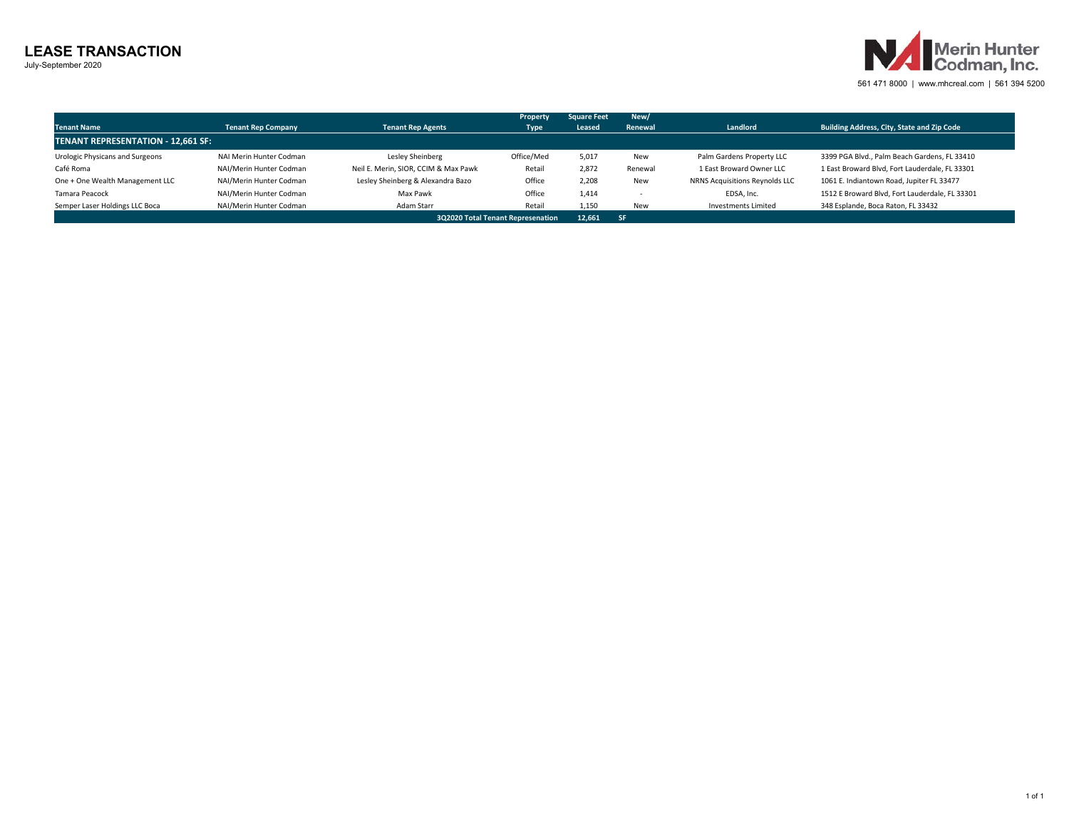## **LEASE TRANSACTION**

July-September 2020



561 471 8000 | www.mhcreal.com | 561 394 5200

| <b>Tenant Name</b><br><b>TENANT REPRESENTATION - 12.661 SF:</b> | <b>Tenant Rep Company</b>         | <b>Tenant Rep Agents</b>             | Property<br><b>Type</b> | <b>Square Feet</b><br>Leased | New/<br>Renewal | Landlord                       | Building Address, City, State and Zip Code     |
|-----------------------------------------------------------------|-----------------------------------|--------------------------------------|-------------------------|------------------------------|-----------------|--------------------------------|------------------------------------------------|
| Urologic Physicans and Surgeons                                 | NAI Merin Hunter Codman           | Lesley Sheinberg                     | Office/Med              | 5.017                        | New             | Palm Gardens Property LLC      | 3399 PGA Blvd., Palm Beach Gardens, FL 33410   |
| Café Roma                                                       | NAI/Merin Hunter Codman           | Neil E. Merin, SIOR, CCIM & Max Pawk | Retail                  | 2.872                        | Renewal         | 1 East Broward Owner LLC       | 1 East Broward Blvd, Fort Lauderdale, FL 33301 |
| One + One Wealth Management LLC                                 | NAI/Merin Hunter Codman           | Lesley Sheinberg & Alexandra Bazo    | Office                  | 2.208                        | New             | NRNS Acquisitions Reynolds LLC | 1061 E. Indiantown Road, Jupiter FL 33477      |
| Tamara Peacock                                                  | NAI/Merin Hunter Codman           | Max Pawk                             | Office                  | 1.414                        |                 | EDSA, Inc.                     | 1512 E Broward Blvd, Fort Lauderdale, FL 33301 |
| Semper Laser Holdings LLC Boca                                  | NAI/Merin Hunter Codman           | Adam Starr                           | Retail                  | 1.150                        | New             | <b>Investments Limited</b>     | 348 Esplande, Boca Raton, FL 33432             |
|                                                                 | 3Q2020 Total Tenant Represenation | 12.661 SF                            |                         |                              |                 |                                |                                                |